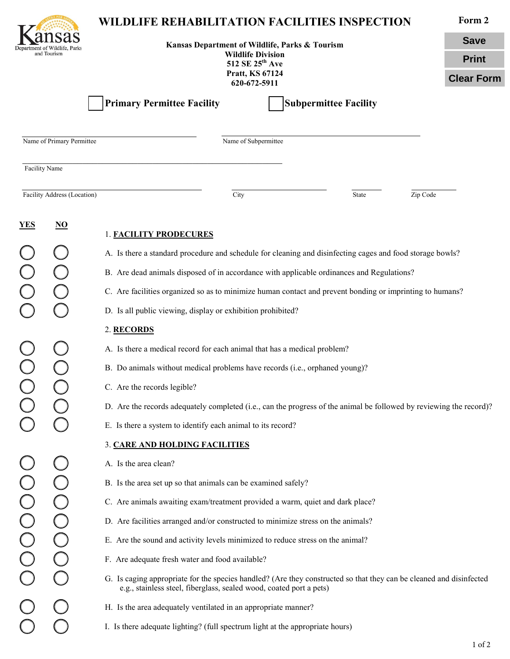| and Tourism                                       |                     | WILDLIFE REHABILITATION FACILITIES INSPECTION<br>Kansas Department of Wildlife, Parks & Tourism                                                                                                                                                     |                              |              | Form 2            |  |
|---------------------------------------------------|---------------------|-----------------------------------------------------------------------------------------------------------------------------------------------------------------------------------------------------------------------------------------------------|------------------------------|--------------|-------------------|--|
|                                                   |                     |                                                                                                                                                                                                                                                     |                              |              | <b>Save</b>       |  |
|                                                   |                     | <b>Wildlife Division</b><br>512 SE 25 <sup>th</sup> Ave                                                                                                                                                                                             |                              | <b>Print</b> |                   |  |
|                                                   |                     | Pratt, KS 67124<br>620-672-5911                                                                                                                                                                                                                     |                              |              | <b>Clear Form</b> |  |
|                                                   |                     | <b>Primary Permittee Facility</b>                                                                                                                                                                                                                   | <b>Subpermittee Facility</b> |              |                   |  |
| Name of Primary Permittee<br>Name of Subpermittee |                     |                                                                                                                                                                                                                                                     |                              |              |                   |  |
| Facility Name                                     |                     |                                                                                                                                                                                                                                                     |                              |              |                   |  |
| Facility Address (Location)                       |                     | City                                                                                                                                                                                                                                                | State                        | Zip Code     |                   |  |
| <u>YES</u>                                        | $\overline{\bf NO}$ | <b>1. FACILITY PRODECURES</b>                                                                                                                                                                                                                       |                              |              |                   |  |
|                                                   |                     | A. Is there a standard procedure and schedule for cleaning and disinfecting cages and food storage bowls?<br>B. Are dead animals disposed of in accordance with applicable ordinances and Regulations?                                              |                              |              |                   |  |
|                                                   |                     |                                                                                                                                                                                                                                                     |                              |              |                   |  |
|                                                   |                     | C. Are facilities organized so as to minimize human contact and prevent bonding or imprinting to humans?                                                                                                                                            |                              |              |                   |  |
|                                                   |                     | D. Is all public viewing, display or exhibition prohibited?                                                                                                                                                                                         |                              |              |                   |  |
|                                                   |                     | 2. RECORDS                                                                                                                                                                                                                                          |                              |              |                   |  |
|                                                   |                     | A. Is there a medical record for each animal that has a medical problem?                                                                                                                                                                            |                              |              |                   |  |
|                                                   |                     | B. Do animals without medical problems have records (i.e., orphaned young)?                                                                                                                                                                         |                              |              |                   |  |
|                                                   |                     | C. Are the records legible?                                                                                                                                                                                                                         |                              |              |                   |  |
|                                                   |                     | D. Are the records adequately completed (i.e., can the progress of the animal be followed by reviewing the record)?                                                                                                                                 |                              |              |                   |  |
|                                                   |                     | E. Is there a system to identify each animal to its record?                                                                                                                                                                                         |                              |              |                   |  |
|                                                   |                     | 3. CARE AND HOLDING FACILITIES                                                                                                                                                                                                                      |                              |              |                   |  |
|                                                   |                     | A. Is the area clean?                                                                                                                                                                                                                               |                              |              |                   |  |
|                                                   |                     | B. Is the area set up so that animals can be examined safely?                                                                                                                                                                                       |                              |              |                   |  |
|                                                   |                     | C. Are animals awaiting exam/treatment provided a warm, quiet and dark place?<br>D. Are facilities arranged and/or constructed to minimize stress on the animals?<br>E. Are the sound and activity levels minimized to reduce stress on the animal? |                              |              |                   |  |
|                                                   |                     |                                                                                                                                                                                                                                                     |                              |              |                   |  |
|                                                   |                     |                                                                                                                                                                                                                                                     |                              |              |                   |  |
|                                                   |                     | F. Are adequate fresh water and food available?                                                                                                                                                                                                     |                              |              |                   |  |
|                                                   |                     | G. Is caging appropriate for the species handled? (Are they constructed so that they can be cleaned and disinfected<br>e.g., stainless steel, fiberglass, sealed wood, coated port a pets)                                                          |                              |              |                   |  |
|                                                   |                     | H. Is the area adequately ventilated in an appropriate manner?                                                                                                                                                                                      |                              |              |                   |  |
|                                                   |                     | I. Is there adequate lighting? (full spectrum light at the appropriate hours)                                                                                                                                                                       |                              |              |                   |  |
|                                                   |                     |                                                                                                                                                                                                                                                     |                              |              | $1$ of $2$        |  |